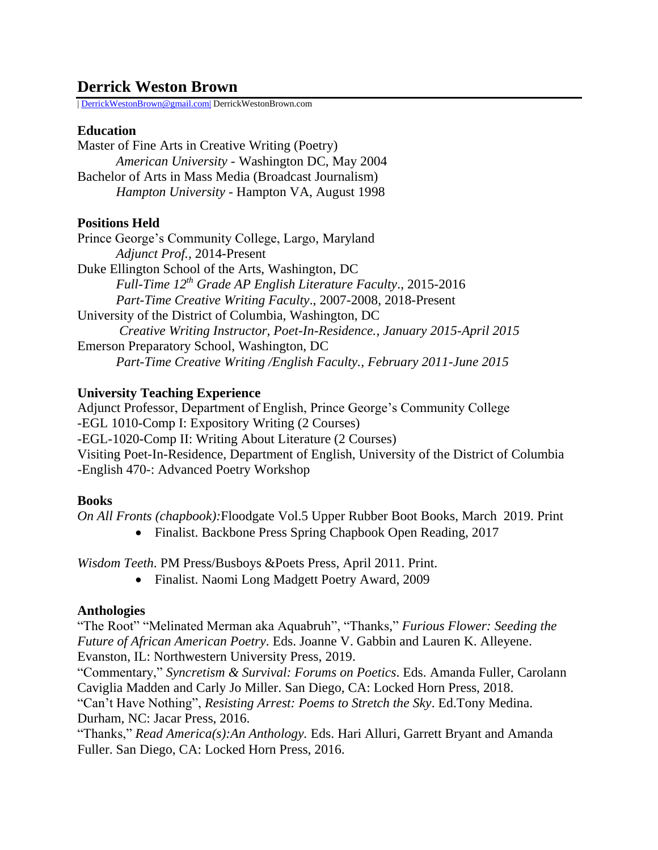# **Derrick Weston Brown**

| [DerrickWestonBrown@gmail.com|](mailto:DerrickWestonBrown@gmail.com%7C) DerrickWestonBrown.com

#### **Education**

Master of Fine Arts in Creative Writing (Poetry) *American University* - Washington DC, May 2004 Bachelor of Arts in Mass Media (Broadcast Journalism) *Hampton University -* Hampton VA, August 1998

## **Positions Held**

Prince George's Community College, Largo, Maryland *Adjunct Prof.,* 2014-Present Duke Ellington School of the Arts, Washington, DC *Full-Time 12th Grade AP English Literature Faculty*., 2015-2016 *Part-Time Creative Writing Faculty*., 2007-2008, 2018-Present University of the District of Columbia, Washington, DC *Creative Writing Instructor, Poet-In-Residence., January 2015-April 2015* Emerson Preparatory School, Washington, DC *Part-Time Creative Writing /English Faculty., February 2011-June 2015*

## **University Teaching Experience**

Adjunct Professor, Department of English, Prince George's Community College -EGL 1010-Comp I: Expository Writing (2 Courses) -EGL-1020-Comp II: Writing About Literature (2 Courses) Visiting Poet-In-Residence, Department of English, University of the District of Columbia -English 470-: Advanced Poetry Workshop

## **Books**

*On All Fronts (chapbook):*Floodgate Vol.5 Upper Rubber Boot Books, March 2019. Print

• Finalist. Backbone Press Spring Chapbook Open Reading, 2017

*Wisdom Teeth*. PM Press/Busboys &Poets Press, April 2011. Print.

Finalist. Naomi Long Madgett Poetry Award, 2009

## **Anthologies**

"The Root" "Melinated Merman aka Aquabruh", "Thanks," *Furious Flower: Seeding the Future of African American Poetry*. Eds. Joanne V. Gabbin and Lauren K. Alleyene. Evanston, IL: Northwestern University Press, 2019.

"Commentary," *Syncretism & Survival: Forums on Poetics*. Eds. Amanda Fuller, Carolann Caviglia Madden and Carly Jo Miller. San Diego, CA: Locked Horn Press, 2018. "Can't Have Nothing", *Resisting Arrest: Poems to Stretch the Sky*. Ed.Tony Medina.

Durham, NC: Jacar Press, 2016.

"Thanks," *Read America(s):An Anthology.* Eds. Hari Alluri, Garrett Bryant and Amanda Fuller. San Diego, CA: Locked Horn Press, 2016.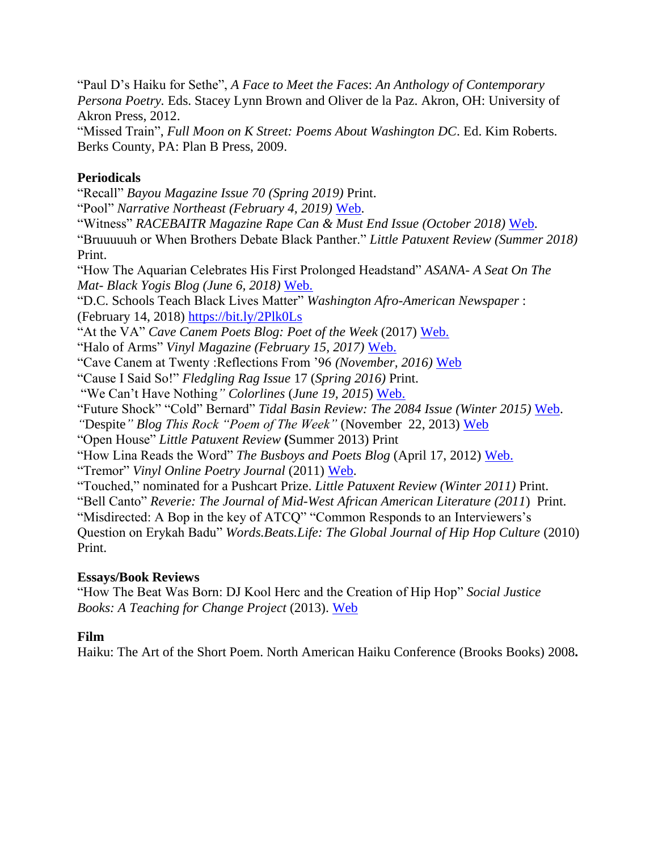"Paul D's Haiku for Sethe", *A Face to Meet the Faces*: *An Anthology of Contemporary Persona Poetry.* Eds. Stacey Lynn Brown and Oliver de la Paz. Akron, OH: University of Akron Press, 2012.

"Missed Train", *Full Moon on K Street: Poems About Washington DC*. Ed. Kim Roberts. Berks County, PA: Plan B Press, 2009.

## **Periodicals**

"Recall" *Bayou Magazine Issue 70 (Spring 2019)* Print. "Pool" *Narrative Northeast (February 4, 2019)* [Web.](https://bit.ly/30POTNA) "Witness" *RACEBAITR Magazine Rape Can & Must End Issue (October 2018)* [Web.](https://racebaitr.com/2018/10/02/rape-can-must-end-poems/) "Bruuuuuh or When Brothers Debate Black Panther." *Little Patuxent Review (Summer 2018)*  Print. "How The Aquarian Celebrates His First Prolonged Headstand" *ASANA- A Seat On The Mat- Black Yogis Blog (June 6, 2018)* [Web.](https://www.aseatonthemat.com/a-seat-on-the-mat/2018/6/6/how-the-aquarian-celebrates-his-first-prolonged-yoga-headstand-by-derrick-weston-brown) "D.C. Schools Teach Black Lives Matter" *Washington Afro-American Newspaper* : (February 14, 2018)<https://bit.ly/2Plk0Ls> "At the VA" *Cave Canem Poets Blog: Poet of the Week* (2017) [Web.](https://cavecanempoets.org/derrick-weston-brown-poet-of-the-week/) "Halo of Arms" *Vinyl Magazine (February 15, 2017)* [Web.](http://bit.ly/2Fh9XCz;) "Cave Canem at Twenty :Reflections From '96 *(November, 2016)* [Web](http://bit.ly/2oTUVvD) "Cause I Said So!" *Fledgling Rag Issue* 17 (*Spring 2016)* Print. "We Can't Have Nothing*" Colorlines* (*June 19, 2015*) [Web.](http://bit.ly/1E8snOt) "Future Shock" "Cold" Bernard" *Tidal Basin Review: The 2084 Issue (Winter 2015)* [Web.](http://bit.ly/1CAYy9R) *"*Despite*" Blog This Rock "Poem of The Week"* (November 22, 2013) [Web](http://blogthisrock.blogspot.com/2013/11/poem-of-week-derrick-weston-brown.html)  "Open House" *Little Patuxent Review* **(**Summer 2013) Print "How Lina Reads the Word" *The Busboys and Poets Blog* (April 17, 2012) [Web.](http://bit.ly/NJAA16) "Tremor" *Vinyl Online Poetry Journal* (2011) [Web.](http://vinylpoetryandprose.com/volume-3/) "Touched," nominated for a Pushcart Prize. *Little Patuxent Review (Winter 2011)* Print. "Bell Canto" *Reverie: The Journal of Mid-West African American Literature (2011*) Print. "Misdirected: A Bop in the key of ATCQ" "Common Responds to an Interviewers's Question on Erykah Badu" *Words.Beats.Life: The Global Journal of Hip Hop Culture* (2010)

## **Essays/Book Reviews**

"How The Beat Was Born: DJ Kool Herc and the Creation of Hip Hop" *Social Justice Books: A Teaching for Change Project* (2013). [Web](https://socialjusticebooks.org/when-the-beat-was-born-dj-kool-herc-and-the-creation-of-hip-hop/)

# **Film**

Print.

Haiku: The Art of the Short Poem. North American Haiku Conference (Brooks Books) 2008**.**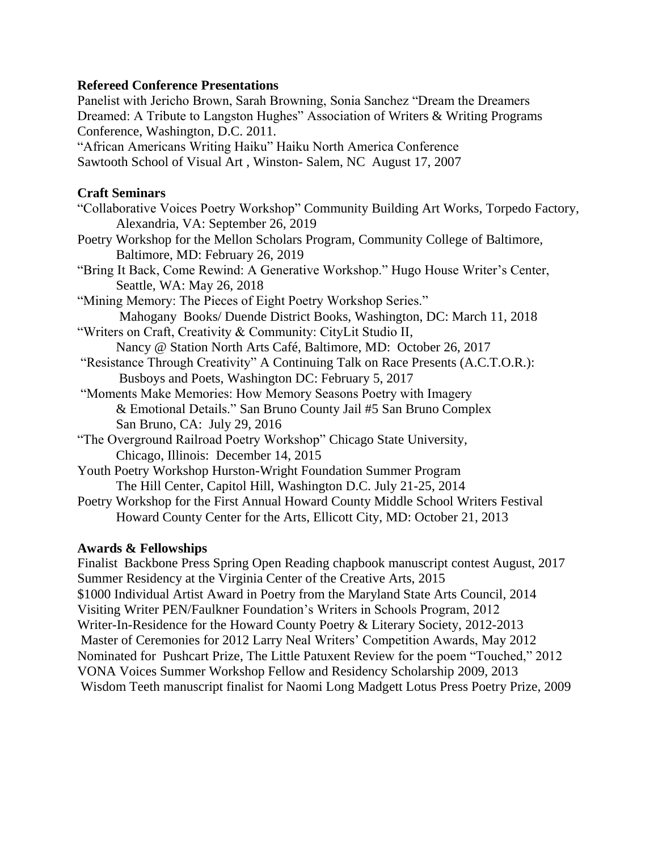#### **Refereed Conference Presentations**

Panelist with Jericho Brown, Sarah Browning, Sonia Sanchez "Dream the Dreamers Dreamed: A Tribute to Langston Hughes" Association of Writers & Writing Programs Conference, Washington, D.C. 2011.

"African Americans Writing Haiku" Haiku North America Conference Sawtooth School of Visual Art , Winston- Salem, NC August 17, 2007

#### **Craft Seminars**

#### **Awards & Fellowships**

Finalist Backbone Press Spring Open Reading chapbook manuscript contest August, 2017 Summer Residency at the Virginia Center of the Creative Arts, 2015 \$1000 Individual Artist Award in Poetry from the Maryland State Arts Council, 2014 Visiting Writer PEN/Faulkner Foundation's Writers in Schools Program, 2012 Writer-In-Residence for the Howard County Poetry & Literary Society, 2012-2013 Master of Ceremonies for 2012 Larry Neal Writers' Competition Awards, May 2012 Nominated for Pushcart Prize, The Little Patuxent Review for the poem "Touched," 2012 VONA Voices Summer Workshop Fellow and Residency Scholarship 2009, 2013 Wisdom Teeth manuscript finalist for Naomi Long Madgett Lotus Press Poetry Prize, 2009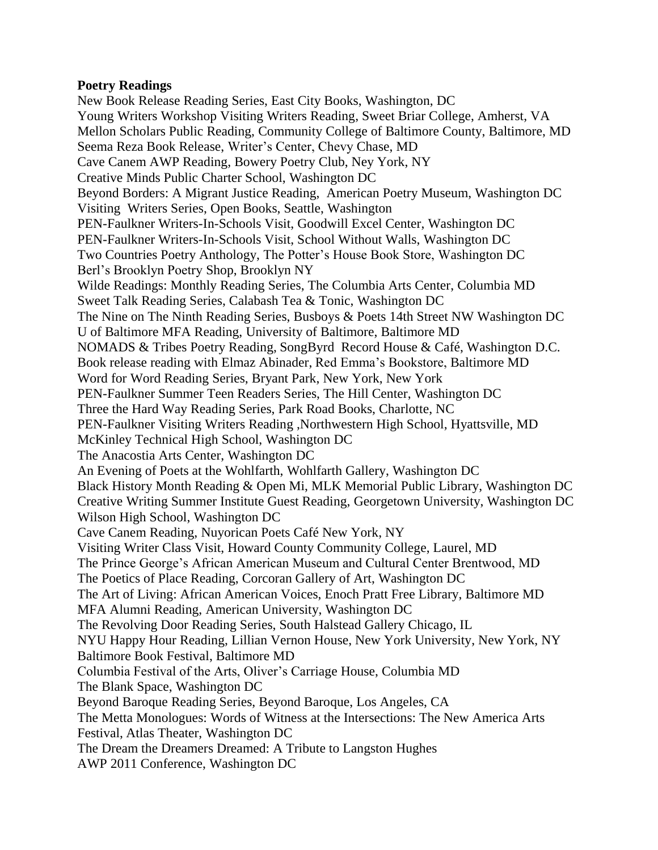#### **Poetry Readings**

New Book Release Reading Series, East City Books, Washington, DC Young Writers Workshop Visiting Writers Reading, Sweet Briar College, Amherst, VA Mellon Scholars Public Reading, Community College of Baltimore County, Baltimore, MD Seema Reza Book Release, Writer's Center, Chevy Chase, MD Cave Canem AWP Reading, Bowery Poetry Club, Ney York, NY Creative Minds Public Charter School, Washington DC Beyond Borders: A Migrant Justice Reading, American Poetry Museum, Washington DC Visiting Writers Series, Open Books, Seattle, Washington PEN-Faulkner Writers-In-Schools Visit, Goodwill Excel Center, Washington DC PEN-Faulkner Writers-In-Schools Visit, School Without Walls, Washington DC Two Countries Poetry Anthology, The Potter's House Book Store, Washington DC Berl's Brooklyn Poetry Shop, Brooklyn NY Wilde Readings: Monthly Reading Series, The Columbia Arts Center, Columbia MD Sweet Talk Reading Series, Calabash Tea & Tonic, Washington DC The Nine on The Ninth Reading Series, Busboys & Poets 14th Street NW Washington DC U of Baltimore MFA Reading, University of Baltimore, Baltimore MD NOMADS & Tribes Poetry Reading, SongByrd Record House & Café, Washington D.C. Book release reading with Elmaz Abinader, Red Emma's Bookstore, Baltimore MD Word for Word Reading Series, Bryant Park, New York, New York PEN-Faulkner Summer Teen Readers Series, The Hill Center, Washington DC Three the Hard Way Reading Series, Park Road Books, Charlotte, NC PEN-Faulkner Visiting Writers Reading ,Northwestern High School, Hyattsville, MD McKinley Technical High School, Washington DC The Anacostia Arts Center, Washington DC An Evening of Poets at the Wohlfarth, Wohlfarth Gallery, Washington DC Black History Month Reading & Open Mi, MLK Memorial Public Library, Washington DC Creative Writing Summer Institute Guest Reading, Georgetown University, Washington DC Wilson High School, Washington DC Cave Canem Reading, Nuyorican Poets Café New York, NY Visiting Writer Class Visit, Howard County Community College, Laurel, MD The Prince George's African American Museum and Cultural Center Brentwood, MD The Poetics of Place Reading, Corcoran Gallery of Art, Washington DC The Art of Living: African American Voices, Enoch Pratt Free Library, Baltimore MD MFA Alumni Reading, American University, Washington DC The Revolving Door Reading Series, South Halstead Gallery Chicago, IL NYU Happy Hour Reading, Lillian Vernon House, New York University, New York, NY Baltimore Book Festival, Baltimore MD Columbia Festival of the Arts, Oliver's Carriage House, Columbia MD The Blank Space, Washington DC Beyond Baroque Reading Series, Beyond Baroque, Los Angeles, CA The Metta Monologues: Words of Witness at the Intersections: The New America Arts Festival, Atlas Theater, Washington DC The Dream the Dreamers Dreamed: A Tribute to Langston Hughes AWP 2011 Conference, Washington DC